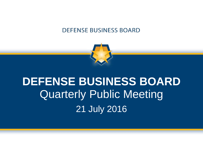

# **DEFENSE BUSINESS BOARD** Quarterly Public Meeting 21 July 2016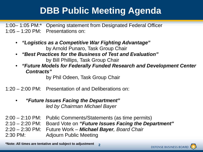## **DBB Public Meeting Agenda**

1:00– 1:05 PM:\* Opening statement from Designated Federal Officer 1:05 – 1:20 PM: Presentations on:

- *"Logistics as a Competitive War Fighting Advantage"*  by Arnold Punaro, Task Group Chair
- *"Best Practices for the Business of Test and Evaluation"*  by Bill Phillips, Task Group Chair
- *"Future Models for Federally Funded Research and Development Center Contracts"*

by Phil Odeen, Task Group Chair

1:20 – 2:00 PM: Presentation of and Deliberations on:

• *"Future Issues Facing the Department" led by Chairman Michael Bayer* 

2:00 – 2:10 PM: Public Comments/Statements (as time permits) 2:10 – 2:20 PM: Board Vote on *"Future Issues Facing the Department"*  2:20 – 2:30 PM: Future Work – *Michael Bayer, Board Chair* 2:30 PM: Adjourn Public Meeting

**2 \*Note: All times are tentative and subject to adjustment**

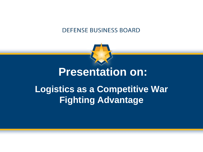

## **Presentation on:**

## **Logistics as a Competitive War Fighting Advantage**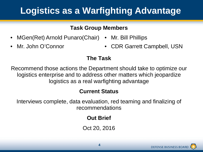## **Logistics as a Warfighting Advantage**

#### **Task Group Members**

- MGen(Ret) Arnold Punaro(Chair) Mr. Bill Phillips
- 
- Mr. John O'Connor CDR Garrett Campbell, USN

## **The Task**

Recommend those actions the Department should take to optimize our logistics enterprise and to address other matters which jeopardize logistics as a real warfighting advantage

## **Current Status**

Interviews complete, data evaluation, red teaming and finalizing of recommendations

## **Out Brief**

Oct 20, 2016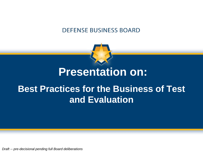

## **Presentation on:**

## **Best Practices for the Business of Test and Evaluation**

*Draft -- pre-decisional pending full Board deliberations*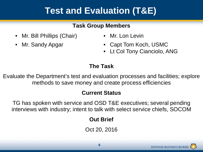## **Test and Evaluation (T&E)**

#### **Task Group Members**

- Mr. Bill Phillips (Chair) Mr. Lon Levin
- 
- 
- Mr. Sandy Apgar Capt Tom Koch, USMC
	- Lt Col Tony Cianciolo, ANG

## **The Task**

Evaluate the Department's test and evaluation processes and facilities; explore methods to save money and create process efficiencies

## **Current Status**

TG has spoken with service and OSD T&E executives; several pending interviews with industry; intent to talk with select service chiefs, SOCOM

## **Out Brief**

Oct 20, 2016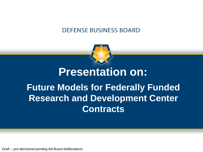

# **Future Models for Federally Funded Research and Development Center Contracts Presentation on:**

*Draft -- pre-decisional pending full Board deliberations*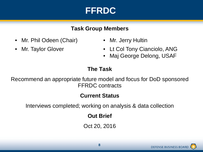## **FFRDC**

#### **Task Group Members**

- Mr. Phil Odeen (Chair) Mr. Jerry Hultin
- 
- 
- Mr. Taylor Glover Lt Col Tony Cianciolo, ANG
	- Maj George Delong, USAF

## **The Task**

Recommend an appropriate future model and focus for DoD sponsored FFRDC contracts

## **Current Status**

Interviews completed; working on analysis & data collection

**Out Brief**

Oct 20, 2016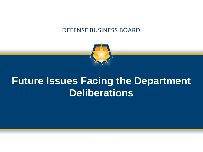

# **Future Issues Facing the Department Deliberations**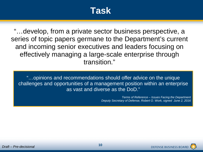## **Task**

"…develop, from a private sector business perspective, a series of topic papers germane to the Department's current and incoming senior executives and leaders focusing on effectively managing a large-scale enterprise through transition."

"…opinions and recommendations should offer advice on the unique challenges and opportunities of a management position within an enterprise as vast and diverse as the DoD."

> *Terms of Reference – Issues Facing the Department Deputy Secretary of Defense, Robert O. Work, signed June 2, 2016*

> > **DEFENSE BUSINESS BOA**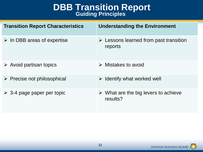# **DBB Transition Report**<br>Guiding Principles

| <b>Transition Report Characteristics</b>   | <b>Understanding the Environment</b>                             |
|--------------------------------------------|------------------------------------------------------------------|
| $\triangleright$ In DBB areas of expertise | $\triangleright$ Lessons learned from past transition<br>reports |
| $\triangleright$ Avoid partisan topics     | $\triangleright$ Mistakes to avoid                               |
| $\triangleright$ Precise not philosophical | $\triangleright$ Identify what worked well                       |
| $\geq$ 3-4 page paper per topic            | $\triangleright$ What are the big levers to achieve<br>results?  |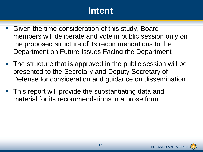## **Intent**

- Given the time consideration of this study, Board members will deliberate and vote in public session only on the proposed structure of its recommendations to the Department on Future Issues Facing the Department
- The structure that is approved in the public session will be presented to the Secretary and Deputy Secretary of Defense for consideration and guidance on dissemination.
- **This report will provide the substantiating data and** material for its recommendations in a prose form.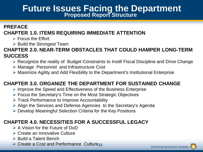# **Future Issues Facing the Department Proposed Report Structure**

#### **PREFACE CHAPTER 1.0. ITEMS REQUIRING IMMEDIATE ATTENTION**

- $\triangleright$  Focus the Effort
- $\triangleright$  Build the Strongest Team

#### **CHAPTER 2.0. NEAR-TERM OBSTACLES THAT COULD HAMPER LONG-TERM SUCCESS**

- Recognize the reality of Budget Constraints to Instill Fiscal Discipline and Drive Change
- Manage Personnel and Infrastructure Cost
- Maximize Agility and Add Flexibility to the Department's Institutional Enterprise

#### **CHAPTER 3.0. ORGANIZE THE DEPARTMENT FOR SUSTAINED CHANGE**

- $\triangleright$  Improve the Speed and Effectiveness of the Business Enterprise
- Focus the Secretary's Time on the Most Strategic Objectives
- $\triangleright$  Track Performance to Improve Accountability
- Align the Services and Defense Agencies to the Secretary's Agenda
- ▶ Develop Meaningful Selection Criteria for the Key Positions

#### **CHAPTER 4.0. NECESSITIES FOR A SUCCESSFUL LEGACY**

- $\triangleright$  A Vision for the Future of DoD
- **► Create an Innovative Culture**
- $\triangleright$  Build a Talent Bench
- **▶ Create a Cost and Performance Culture<sub>13</sub>**

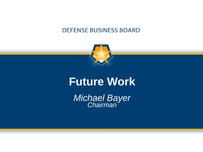

## **Future Work**

*Michael Bayer Chairman*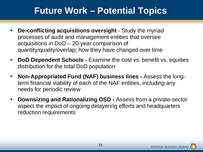## **Future Work – Potential Topics**

- **De-conflicting acquisitions oversight**  Study the myriad processes of audit and management entities that oversee acquisitions in DoD – 20-year comparison of quantity/quality/overlap; how they have changed over time
- **DoD Dependent Schools** Examine the cost vs. benefit vs. equities distribution for the total DoD population
- **Non-Appropriated Fund (NAF) business lines -** Assess the longterm financial viability of each of the NAF entities, including any needs for periodic review
- **-** Downsizing and Rationalizing OSD Assess from a private-sector aspect the impact of ongoing delayering efforts and headquarters reduction requirements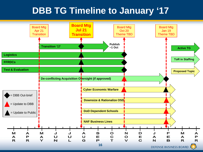## **DBB TG Timeline to January '17**